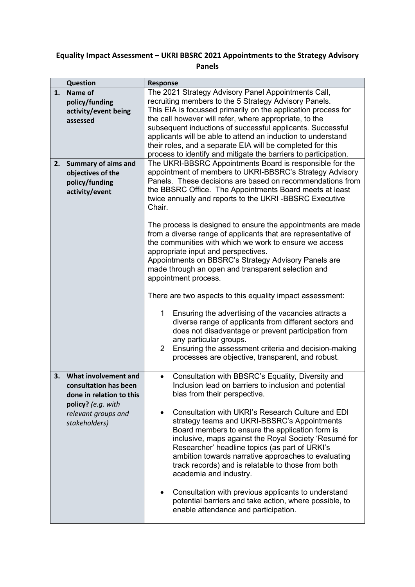## **Equality Impact Assessment – UKRI BBSRC 2021 Appointments to the Strategy Advisory Panels**

|    | Question                   | <b>Response</b>                                                                                                                    |  |  |  |
|----|----------------------------|------------------------------------------------------------------------------------------------------------------------------------|--|--|--|
| 1. | Name of                    | The 2021 Strategy Advisory Panel Appointments Call,                                                                                |  |  |  |
|    |                            | recruiting members to the 5 Strategy Advisory Panels.                                                                              |  |  |  |
|    | policy/funding             | This EIA is focussed primarily on the application process for                                                                      |  |  |  |
|    | activity/event being       | the call however will refer, where appropriate, to the                                                                             |  |  |  |
|    | assessed                   | subsequent inductions of successful applicants. Successful                                                                         |  |  |  |
|    |                            | applicants will be able to attend an induction to understand                                                                       |  |  |  |
|    |                            | their roles, and a separate EIA will be completed for this                                                                         |  |  |  |
|    |                            | process to identify and mitigate the barriers to participation.                                                                    |  |  |  |
| 2. | <b>Summary of aims and</b> | The UKRI-BBSRC Appointments Board is responsible for the                                                                           |  |  |  |
|    | objectives of the          | appointment of members to UKRI-BBSRC's Strategy Advisory                                                                           |  |  |  |
|    | policy/funding             | Panels. These decisions are based on recommendations from                                                                          |  |  |  |
|    | activity/event             | the BBSRC Office. The Appointments Board meets at least                                                                            |  |  |  |
|    |                            | twice annually and reports to the UKRI-BBSRC Executive                                                                             |  |  |  |
|    |                            | Chair.                                                                                                                             |  |  |  |
|    |                            |                                                                                                                                    |  |  |  |
|    |                            | The process is designed to ensure the appointments are made                                                                        |  |  |  |
|    |                            | from a diverse range of applicants that are representative of                                                                      |  |  |  |
|    |                            | the communities with which we work to ensure we access                                                                             |  |  |  |
|    |                            | appropriate input and perspectives.                                                                                                |  |  |  |
|    |                            | Appointments on BBSRC's Strategy Advisory Panels are<br>made through an open and transparent selection and<br>appointment process. |  |  |  |
|    |                            |                                                                                                                                    |  |  |  |
|    |                            |                                                                                                                                    |  |  |  |
|    |                            | There are two aspects to this equality impact assessment:                                                                          |  |  |  |
|    |                            | Ensuring the advertising of the vacancies attracts a<br>1                                                                          |  |  |  |
|    |                            | diverse range of applicants from different sectors and                                                                             |  |  |  |
|    |                            | does not disadvantage or prevent participation from                                                                                |  |  |  |
|    |                            | any particular groups.                                                                                                             |  |  |  |
|    |                            | Ensuring the assessment criteria and decision-making<br>$\overline{2}$                                                             |  |  |  |
|    |                            | processes are objective, transparent, and robust.                                                                                  |  |  |  |
|    |                            |                                                                                                                                    |  |  |  |
| 3. | What involvement and       | Consultation with BBSRC's Equality, Diversity and                                                                                  |  |  |  |
|    | consultation has been      | Inclusion lead on barriers to inclusion and potential                                                                              |  |  |  |
|    | done in relation to this   | bias from their perspective.                                                                                                       |  |  |  |
|    | policy? (e.g. with         | Consultation with UKRI's Research Culture and EDI                                                                                  |  |  |  |
|    | relevant groups and        |                                                                                                                                    |  |  |  |
|    | stakeholders)              | strategy teams and UKRI-BBSRC's Appointments                                                                                       |  |  |  |
|    |                            | Board members to ensure the application form is<br>inclusive, maps against the Royal Society 'Resumé for                           |  |  |  |
|    |                            | Researcher' headline topics (as part of URKI's                                                                                     |  |  |  |
|    |                            | ambition towards narrative approaches to evaluating                                                                                |  |  |  |
|    |                            | track records) and is relatable to those from both                                                                                 |  |  |  |
|    |                            | academia and industry.                                                                                                             |  |  |  |
|    |                            |                                                                                                                                    |  |  |  |
|    |                            | Consultation with previous applicants to understand<br>$\bullet$                                                                   |  |  |  |
|    |                            | potential barriers and take action, where possible, to                                                                             |  |  |  |
|    |                            | enable attendance and participation.                                                                                               |  |  |  |
|    |                            |                                                                                                                                    |  |  |  |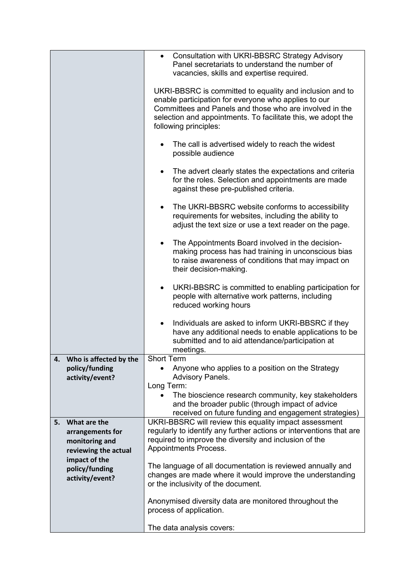|    |                        | Consultation with UKRI-BBSRC Strategy Advisory<br>$\bullet$                                                             |  |  |
|----|------------------------|-------------------------------------------------------------------------------------------------------------------------|--|--|
|    |                        | Panel secretariats to understand the number of                                                                          |  |  |
|    |                        | vacancies, skills and expertise required.                                                                               |  |  |
|    |                        |                                                                                                                         |  |  |
|    |                        | UKRI-BBSRC is committed to equality and inclusion and to                                                                |  |  |
|    |                        | enable participation for everyone who applies to our                                                                    |  |  |
|    |                        | Committees and Panels and those who are involved in the<br>selection and appointments. To facilitate this, we adopt the |  |  |
|    |                        | following principles:                                                                                                   |  |  |
|    |                        |                                                                                                                         |  |  |
|    |                        | The call is advertised widely to reach the widest                                                                       |  |  |
|    |                        | possible audience                                                                                                       |  |  |
|    |                        |                                                                                                                         |  |  |
|    |                        | The advert clearly states the expectations and criteria                                                                 |  |  |
|    |                        | for the roles. Selection and appointments are made<br>against these pre-published criteria.                             |  |  |
|    |                        |                                                                                                                         |  |  |
|    |                        | The UKRI-BBSRC website conforms to accessibility                                                                        |  |  |
|    |                        | requirements for websites, including the ability to                                                                     |  |  |
|    |                        | adjust the text size or use a text reader on the page.                                                                  |  |  |
|    |                        |                                                                                                                         |  |  |
|    |                        | The Appointments Board involved in the decision-<br>٠<br>making process has had training in unconscious bias            |  |  |
|    |                        | to raise awareness of conditions that may impact on                                                                     |  |  |
|    |                        | their decision-making.                                                                                                  |  |  |
|    |                        |                                                                                                                         |  |  |
|    |                        | UKRI-BBSRC is committed to enabling participation for                                                                   |  |  |
|    |                        | people with alternative work patterns, including                                                                        |  |  |
|    |                        | reduced working hours                                                                                                   |  |  |
|    |                        | Individuals are asked to inform UKRI-BBSRC if they<br>$\bullet$                                                         |  |  |
|    |                        | have any additional needs to enable applications to be                                                                  |  |  |
|    |                        | submitted and to aid attendance/participation at                                                                        |  |  |
|    |                        | meetings.                                                                                                               |  |  |
|    | Who is affected by the | <b>Short Term</b>                                                                                                       |  |  |
|    | policy/funding         | Anyone who applies to a position on the Strategy                                                                        |  |  |
|    | activity/event?        | <b>Advisory Panels.</b>                                                                                                 |  |  |
|    |                        | Long Term:                                                                                                              |  |  |
|    |                        | The bioscience research community, key stakeholders<br>and the broader public (through impact of advice                 |  |  |
|    |                        | received on future funding and engagement strategies)                                                                   |  |  |
| 5. | What are the           | UKRI-BBSRC will review this equality impact assessment                                                                  |  |  |
|    | arrangements for       | regularly to identify any further actions or interventions that are                                                     |  |  |
|    | monitoring and         | required to improve the diversity and inclusion of the                                                                  |  |  |
|    | reviewing the actual   | Appointments Process.                                                                                                   |  |  |
|    | impact of the          | The language of all documentation is reviewed annually and                                                              |  |  |
|    | policy/funding         | changes are made where it would improve the understanding                                                               |  |  |
|    | activity/event?        | or the inclusivity of the document.                                                                                     |  |  |
|    |                        |                                                                                                                         |  |  |
|    |                        | Anonymised diversity data are monitored throughout the                                                                  |  |  |
|    |                        | process of application.                                                                                                 |  |  |
|    |                        |                                                                                                                         |  |  |
|    |                        | The data analysis covers:                                                                                               |  |  |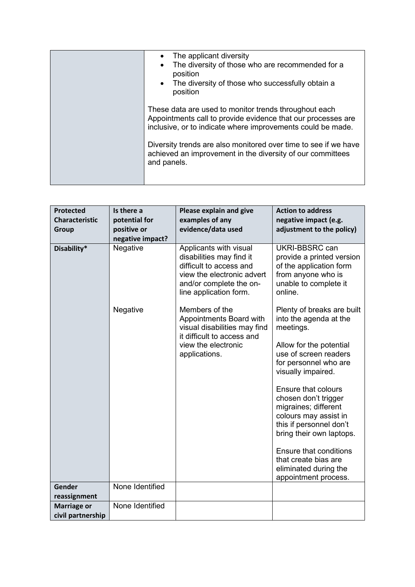| The applicant diversity<br>$\bullet$<br>The diversity of those who are recommended for a<br>position<br>The diversity of those who successfully obtain a<br>$\bullet$<br>position    |
|--------------------------------------------------------------------------------------------------------------------------------------------------------------------------------------|
| These data are used to monitor trends throughout each<br>Appointments call to provide evidence that our processes are<br>inclusive, or to indicate where improvements could be made. |
| Diversity trends are also monitored over time to see if we have<br>achieved an improvement in the diversity of our committees<br>and panels.                                         |

| <b>Protected</b>       | Is there a       | Please explain and give                                                                                                                                          | <b>Action to address</b>                                                                                                                            |
|------------------------|------------------|------------------------------------------------------------------------------------------------------------------------------------------------------------------|-----------------------------------------------------------------------------------------------------------------------------------------------------|
| <b>Characteristic</b>  | potential for    | examples of any                                                                                                                                                  | negative impact (e.g.                                                                                                                               |
| <b>Group</b>           | positive or      | evidence/data used                                                                                                                                               | adjustment to the policy)                                                                                                                           |
|                        | negative impact? |                                                                                                                                                                  |                                                                                                                                                     |
| Disability*            | Negative         | Applicants with visual<br>disabilities may find it<br>difficult to access and<br>view the electronic advert<br>and/or complete the on-<br>line application form. | UKRI-BBSRC can<br>provide a printed version<br>of the application form<br>from anyone who is<br>unable to complete it<br>online.                    |
|                        | Negative         | Members of the<br>Appointments Board with<br>visual disabilities may find<br>it difficult to access and                                                          | Plenty of breaks are built<br>into the agenda at the<br>meetings.                                                                                   |
|                        |                  | view the electronic<br>applications.                                                                                                                             | Allow for the potential<br>use of screen readers<br>for personnel who are<br>visually impaired.                                                     |
|                        |                  |                                                                                                                                                                  | Ensure that colours<br>chosen don't trigger<br>migraines; different<br>colours may assist in<br>this if personnel don't<br>bring their own laptops. |
|                        |                  |                                                                                                                                                                  | <b>Ensure that conditions</b><br>that create bias are<br>eliminated during the<br>appointment process.                                              |
| Gender<br>reassignment | None Identified  |                                                                                                                                                                  |                                                                                                                                                     |
| <b>Marriage or</b>     | None Identified  |                                                                                                                                                                  |                                                                                                                                                     |
| civil partnership      |                  |                                                                                                                                                                  |                                                                                                                                                     |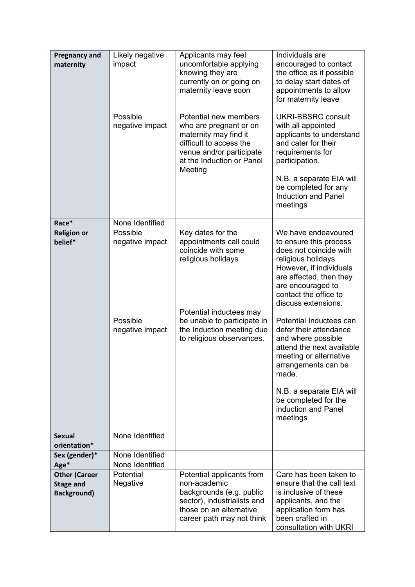| <b>Pregnancy and</b><br>maternity                              | Likely negative<br>impact<br>Possible<br>negative impact   | Applicants may feel<br>uncomfortable applying<br>knowing they are<br>currently on or going on<br>maternity leave soon<br>Potential new members<br>who are pregnant or on<br>maternity may find it<br>difficult to access the<br>venue and/or participate<br>at the Induction or Panel<br>Meeting | Individuals are<br>encouraged to contact<br>the office as it possible<br>to delay start dates of<br>appointments to allow<br>for maternity leave<br><b>UKRI-BBSRC consult</b><br>with all appointed<br>applicants to understand<br>and cater for their<br>requirements for<br>participation.<br>N.B. a separate EIA will<br>be completed for any<br><b>Induction and Panel</b><br>meetings                                                                                         |
|----------------------------------------------------------------|------------------------------------------------------------|--------------------------------------------------------------------------------------------------------------------------------------------------------------------------------------------------------------------------------------------------------------------------------------------------|------------------------------------------------------------------------------------------------------------------------------------------------------------------------------------------------------------------------------------------------------------------------------------------------------------------------------------------------------------------------------------------------------------------------------------------------------------------------------------|
| Race*                                                          | None Identified                                            |                                                                                                                                                                                                                                                                                                  |                                                                                                                                                                                                                                                                                                                                                                                                                                                                                    |
| <b>Religion or</b><br>belief*                                  | Possible<br>negative impact<br>Possible<br>negative impact | Key dates for the<br>appointments call could<br>coincide with some<br>religious holidays<br>Potential inductees may<br>be unable to participate in<br>the Induction meeting due<br>to religious observances.                                                                                     | We have endeavoured<br>to ensure this process<br>does not coincide with<br>religious holidays.<br>However, if individuals<br>are affected, then they<br>are encouraged to<br>contact the office to<br>discuss extensions.<br>Potential Inductees can<br>defer their attendance<br>and where possible<br>attend the next available<br>meeting or alternative<br>arrangements can be<br>made.<br>N.B. a separate EIA will<br>be completed for the<br>induction and Panel<br>meetings |
| <b>Sexual</b><br>orientation*                                  | None Identified                                            |                                                                                                                                                                                                                                                                                                  |                                                                                                                                                                                                                                                                                                                                                                                                                                                                                    |
| Sex (gender)*                                                  | None Identified                                            |                                                                                                                                                                                                                                                                                                  |                                                                                                                                                                                                                                                                                                                                                                                                                                                                                    |
| Age*                                                           | None Identified                                            |                                                                                                                                                                                                                                                                                                  |                                                                                                                                                                                                                                                                                                                                                                                                                                                                                    |
| <b>Other (Career</b><br><b>Stage and</b><br><b>Background)</b> | Potential<br>Negative                                      | Potential applicants from<br>non-academic<br>backgrounds (e.g. public<br>sector), industrialists and<br>those on an alternative<br>career path may not think                                                                                                                                     | Care has been taken to<br>ensure that the call text<br>is inclusive of these<br>applicants, and the<br>application form has<br>been crafted in<br>consultation with UKRI                                                                                                                                                                                                                                                                                                           |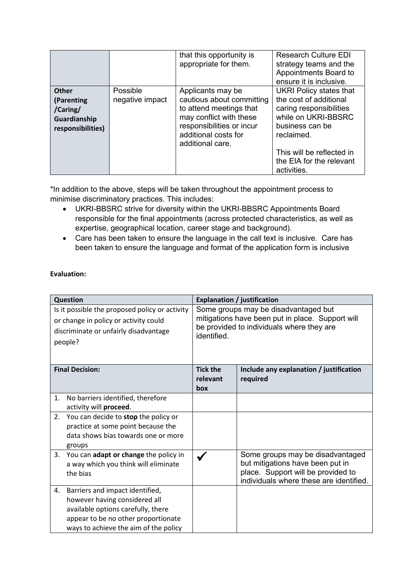|                                                                             |                             | that this opportunity is<br>appropriate for them.                                                                                                                             | <b>Research Culture EDI</b><br>strategy teams and the<br>Appointments Board to<br>ensure it is inclusive.                                                                |
|-----------------------------------------------------------------------------|-----------------------------|-------------------------------------------------------------------------------------------------------------------------------------------------------------------------------|--------------------------------------------------------------------------------------------------------------------------------------------------------------------------|
| <b>Other</b><br>(Parenting<br>/Caring/<br>Guardianship<br>responsibilities) | Possible<br>negative impact | Applicants may be<br>cautious about committing<br>to attend meetings that<br>may conflict with these<br>responsibilities or incur<br>additional costs for<br>additional care. | <b>UKRI Policy states that</b><br>the cost of additional<br>caring responsibilities<br>while on UKRI-BBSRC<br>business can be<br>reclaimed.<br>This will be reflected in |
|                                                                             |                             |                                                                                                                                                                               | the EIA for the relevant<br>activities.                                                                                                                                  |

\*In addition to the above, steps will be taken throughout the appointment process to minimise discriminatory practices. This includes:

- UKRI-BBSRC strive for diversity within the UKRI-BBSRC Appointments Board responsible for the final appointments (across protected characteristics, as well as expertise, geographical location, career stage and background).
- Care has been taken to ensure the language in the call text is inclusive. Care has been taken to ensure the language and format of the application form is inclusive

## **Evaluation:**

| Question                                                                                                                                    |                                                                                                                                                                                        |                                                                                                                                                      | <b>Explanation / justification</b>                                                                                                                    |
|---------------------------------------------------------------------------------------------------------------------------------------------|----------------------------------------------------------------------------------------------------------------------------------------------------------------------------------------|------------------------------------------------------------------------------------------------------------------------------------------------------|-------------------------------------------------------------------------------------------------------------------------------------------------------|
| Is it possible the proposed policy or activity<br>or change in policy or activity could<br>discriminate or unfairly disadvantage<br>people? |                                                                                                                                                                                        | Some groups may be disadvantaged but<br>mitigations have been put in place. Support will<br>be provided to individuals where they are<br>identified. |                                                                                                                                                       |
| <b>Final Decision:</b>                                                                                                                      |                                                                                                                                                                                        | <b>Tick the</b><br>relevant<br>box                                                                                                                   | Include any explanation / justification<br>required                                                                                                   |
| 1.<br>activity will proceed.                                                                                                                | No barriers identified, therefore                                                                                                                                                      |                                                                                                                                                      |                                                                                                                                                       |
| 2.<br>groups                                                                                                                                | You can decide to stop the policy or<br>practice at some point because the<br>data shows bias towards one or more                                                                      |                                                                                                                                                      |                                                                                                                                                       |
| 3.<br>the bias                                                                                                                              | You can adapt or change the policy in<br>a way which you think will eliminate                                                                                                          |                                                                                                                                                      | Some groups may be disadvantaged<br>but mitigations have been put in<br>place. Support will be provided to<br>individuals where these are identified. |
| 4.                                                                                                                                          | Barriers and impact identified,<br>however having considered all<br>available options carefully, there<br>appear to be no other proportionate<br>ways to achieve the aim of the policy |                                                                                                                                                      |                                                                                                                                                       |